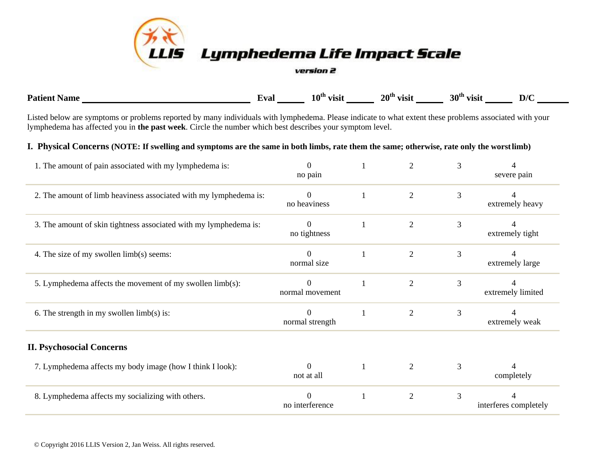

| <b>Pati</b> | val" | 10 <sup>th</sup><br>visil | $20^{\text{th}}$<br><b>VISIt</b> | 30 <sup>th</sup><br><b>VISI</b> | $\mathbf{D}/\mathbf{C}$ |
|-------------|------|---------------------------|----------------------------------|---------------------------------|-------------------------|
|             |      |                           |                                  |                                 |                         |

Listed below are symptoms or problems reported by many individuals with lymphedema. Please indicate to what extent these problems associated with your lymphedema has affected you in **the past week**. Circle the number which best describes your symptom level.

## **I. Physical Concerns (NOTE: If swelling and symptoms are the same in both limbs, rate them the same; otherwise, rate only the worstlimb)**

| 1. The amount of pain associated with my lymphedema is:           | $\Omega$<br>no pain            | 2              | 3 | severe pain           |
|-------------------------------------------------------------------|--------------------------------|----------------|---|-----------------------|
| 2. The amount of limb heaviness associated with my lymphedema is: | $\Omega$<br>no heaviness       | 2              | 3 | extremely heavy       |
| 3. The amount of skin tightness associated with my lymphedema is: | $\overline{0}$<br>no tightness | $\overline{2}$ | 3 | extremely tight       |
| 4. The size of my swollen limb(s) seems:                          | $\Omega$<br>normal size        | $\overline{2}$ | 3 | extremely large       |
| 5. Lymphedema affects the movement of my swollen limb(s):         | $\Omega$<br>normal movement    | 2              | 3 | extremely limited     |
| 6. The strength in my swollen $limb(s)$ is:                       | $\Omega$<br>normal strength    | $\overline{2}$ | 3 | extremely weak        |
| <b>II. Psychosocial Concerns</b>                                  |                                |                |   |                       |
| 7. Lymphedema affects my body image (how I think I look):         | $\Omega$<br>not at all         | 2              | 3 | completely            |
| 8. Lymphedema affects my socializing with others.                 | no interference                | $\overline{2}$ | 3 | interferes completely |